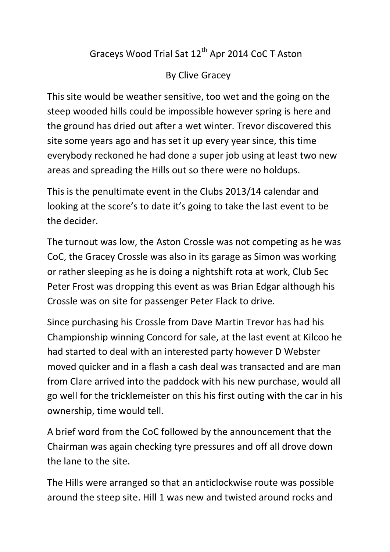## Graceys Wood Trial Sat 12<sup>th</sup> Apr 2014 CoC T Aston

## By Clive Gracey

This site would be weather sensitive, too wet and the going on the steep wooded hills could be impossible however spring is here and the ground has dried out after a wet winter. Trevor discovered this site some years ago and has set it up every year since, this time everybody reckoned he had done a super job using at least two new areas and spreading the Hills out so there were no holdups.

This is the penultimate event in the Clubs 2013/14 calendar and looking at the score's to date it's going to take the last event to be the decider.

The turnout was low, the Aston Crossle was not competing as he was CoC, the Gracey Crossle was also in its garage as Simon was working or rather sleeping as he is doing a nightshift rota at work, Club Sec Peter Frost was dropping this event as was Brian Edgar although his Crossle was on site for passenger Peter Flack to drive.

Since purchasing his Crossle from Dave Martin Trevor has had his Championship winning Concord for sale, at the last event at Kilcoo he had started to deal with an interested party however D Webster moved quicker and in a flash a cash deal was transacted and are man from Clare arrived into the paddock with his new purchase, would all go well for the tricklemeister on this his first outing with the car in his ownership, time would tell.

A brief word from the CoC followed by the announcement that the Chairman was again checking tyre pressures and off all drove down the lane to the site.

The Hills were arranged so that an anticlockwise route was possible around the steep site. Hill 1 was new and twisted around rocks and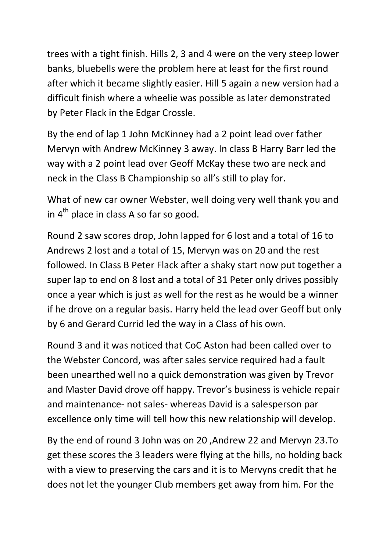trees with a tight finish. Hills 2, 3 and 4 were on the very steep lower banks, bluebells were the problem here at least for the first round after which it became slightly easier. Hill 5 again a new version had a difficult finish where a wheelie was possible as later demonstrated by Peter Flack in the Edgar Crossle.

By the end of lap 1 John McKinney had a 2 point lead over father Mervyn with Andrew McKinney 3 away. In class B Harry Barr led the way with a 2 point lead over Geoff McKay these two are neck and neck in the Class B Championship so all's still to play for.

What of new car owner Webster, well doing very well thank you and in  $4<sup>th</sup>$  place in class A so far so good.

Round 2 saw scores drop, John lapped for 6 lost and a total of 16 to Andrews 2 lost and a total of 15, Mervyn was on 20 and the rest followed. In Class B Peter Flack after a shaky start now put together a super lap to end on 8 lost and a total of 31 Peter only drives possibly once a year which is just as well for the rest as he would be a winner if he drove on a regular basis. Harry held the lead over Geoff but only by 6 and Gerard Currid led the way in a Class of his own.

Round 3 and it was noticed that CoC Aston had been called over to the Webster Concord, was after sales service required had a fault been unearthed well no a quick demonstration was given by Trevor and Master David drove off happy. Trevor's business is vehicle repair and maintenance- not sales- whereas David is a salesperson par excellence only time will tell how this new relationship will develop.

By the end of round 3 John was on 20 ,Andrew 22 and Mervyn 23.To get these scores the 3 leaders were flying at the hills, no holding back with a view to preserving the cars and it is to Mervyns credit that he does not let the younger Club members get away from him. For the